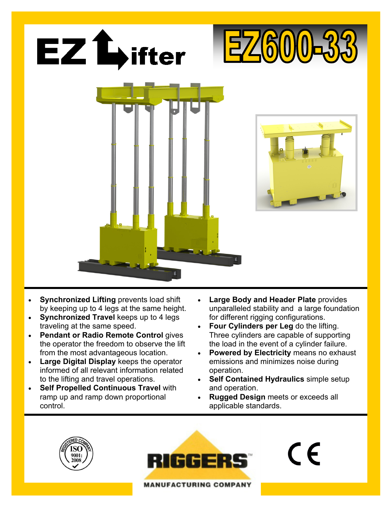

- **Synchronized Lifting** prevents load shift by keeping up to 4 legs at the same height.
- **Synchronized Travel** keeps up to 4 legs traveling at the same speed.
- **Pendant or Radio Remote Control** gives the operator the freedom to observe the lift from the most advantageous location.
- **Large Digital Display** keeps the operator informed of all relevant information related to the lifting and travel operations.
- **Self Propelled Continuous Travel** with ramp up and ramp down proportional control.
- **Large Body and Header Plate** provides unparalleled stability and a large foundation for different rigging configurations.
- **Four Cylinders per Leg** do the lifting. Three cylinders are capable of supporting the load in the event of a cylinder failure.
- **Powered by Electricity** means no exhaust emissions and minimizes noise during operation.
- **Self Contained Hydraulics** simple setup and operation.
- **Rugged Design** meets or exceeds all applicable standards.





 $\in$   $\in$